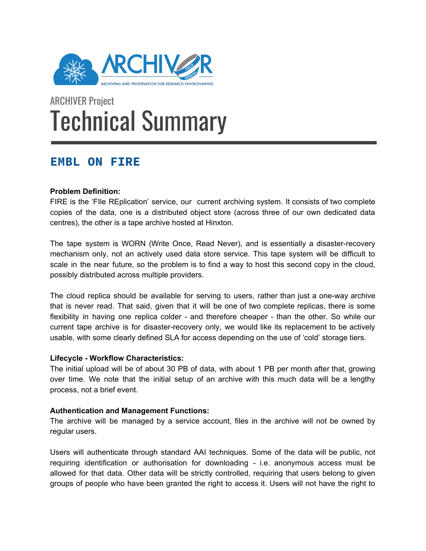

# ARCHIVER Project Technical Summary

# **EMBL ON FIRE**

# **Problem Definition:**

FIRE is the 'FIle REplication' service, our current archiving system. It consists of two complete copies of the data, one is a distributed object store (across three of our own dedicated data centres), the other is a tape archive hosted at Hinxton.

The tape system is WORN (Write Once, Read Never), and is essentially a disaster-recovery mechanism only, not an actively used data store service. This tape system will be difficult to scale in the near future, so the problem is to find a way to host this second copy in the cloud, possibly distributed across multiple providers.

The cloud replica should be available for serving to users, rather than just a one-way archive that is never read. That said, given that it will be one of two complete replicas, there is some flexibility in having one replica colder - and therefore cheaper - than the other. So while our current tape archive is for disaster-recovery only, we would like its replacement to be actively usable, with some clearly defined SLA for access depending on the use of 'cold' storage tiers.

# **Lifecycle - Workflow Characteristics:**

The initial upload will be of about 30 PB of data, with about 1 PB per month after that, growing over time. We note that the initial setup of an archive with this much data will be a lengthy process, not a brief event.

# **Authentication and Management Functions:**

The archive will be managed by a service account, files in the archive will not be owned by regular users.

Users will authenticate through standard AAI techniques. Some of the data will be public, not requiring identification or authorisation for downloading - i.e. anonymous access must be allowed for that data. Other data will be strictly controlled, requiring that users belong to given groups of people who have been granted the right to access it. Users will not have the right to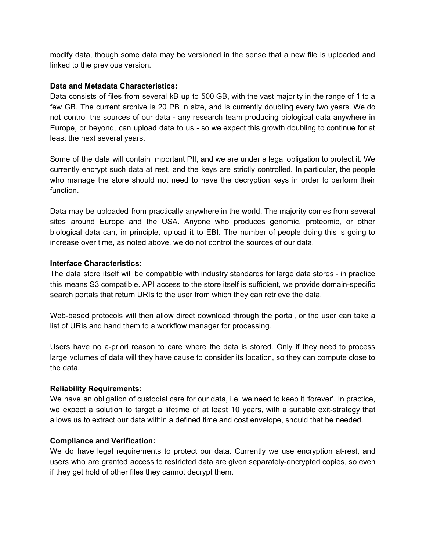modify data, though some data may be versioned in the sense that a new file is uploaded and linked to the previous version.

# **Data and Metadata Characteristics:**

Data consists of files from several kB up to 500 GB, with the vast majority in the range of 1 to a few GB. The current archive is 20 PB in size, and is currently doubling every two years. We do not control the sources of our data - any research team producing biological data anywhere in Europe, or beyond, can upload data to us - so we expect this growth doubling to continue for at least the next several years.

Some of the data will contain important PII, and we are under a legal obligation to protect it. We currently encrypt such data at rest, and the keys are strictly controlled. In particular, the people who manage the store should not need to have the decryption keys in order to perform their function.

Data may be uploaded from practically anywhere in the world. The majority comes from several sites around Europe and the USA. Anyone who produces genomic, proteomic, or other biological data can, in principle, upload it to EBI. The number of people doing this is going to increase over time, as noted above, we do not control the sources of our data.

#### **Interface Characteristics:**

The data store itself will be compatible with industry standards for large data stores - in practice this means S3 compatible. API access to the store itself is sufficient, we provide domain-specific search portals that return URIs to the user from which they can retrieve the data.

Web-based protocols will then allow direct download through the portal, or the user can take a list of URIs and hand them to a workflow manager for processing.

Users have no a-priori reason to care where the data is stored. Only if they need to process large volumes of data will they have cause to consider its location, so they can compute close to the data.

# **Reliability Requirements:**

We have an obligation of custodial care for our data, i.e. we need to keep it 'forever'. In practice, we expect a solution to target a lifetime of at least 10 years, with a suitable exit-strategy that allows us to extract our data within a defined time and cost envelope, should that be needed.

#### **Compliance and Verification:**

We do have legal requirements to protect our data. Currently we use encryption at-rest, and users who are granted access to restricted data are given separately-encrypted copies, so even if they get hold of other files they cannot decrypt them.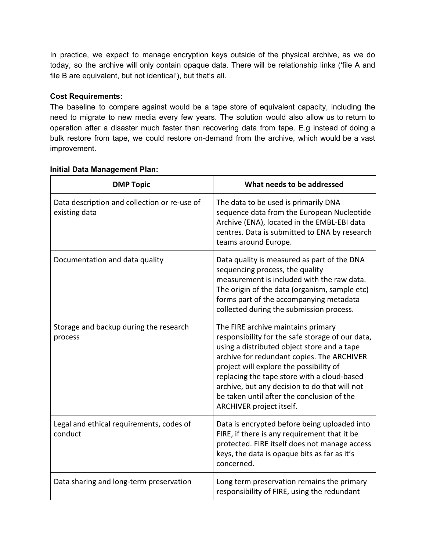In practice, we expect to manage encryption keys outside of the physical archive, as we do today, so the archive will only contain opaque data. There will be relationship links ('file A and file B are equivalent, but not identical'), but that's all.

# **Cost Requirements:**

The baseline to compare against would be a tape store of equivalent capacity, including the need to migrate to new media every few years. The solution would also allow us to return to operation after a disaster much faster than recovering data from tape. E.g instead of doing a bulk restore from tape, we could restore on-demand from the archive, which would be a vast improvement.

| <b>DMP Topic</b>                                              | What needs to be addressed                                                                                                                                                                                                                                                                                                                                                                               |
|---------------------------------------------------------------|----------------------------------------------------------------------------------------------------------------------------------------------------------------------------------------------------------------------------------------------------------------------------------------------------------------------------------------------------------------------------------------------------------|
| Data description and collection or re-use of<br>existing data | The data to be used is primarily DNA<br>sequence data from the European Nucleotide<br>Archive (ENA), located in the EMBL-EBI data<br>centres. Data is submitted to ENA by research<br>teams around Europe.                                                                                                                                                                                               |
| Documentation and data quality                                | Data quality is measured as part of the DNA<br>sequencing process, the quality<br>measurement is included with the raw data.<br>The origin of the data (organism, sample etc)<br>forms part of the accompanying metadata<br>collected during the submission process.                                                                                                                                     |
| Storage and backup during the research<br>process             | The FIRE archive maintains primary<br>responsibility for the safe storage of our data,<br>using a distributed object store and a tape<br>archive for redundant copies. The ARCHIVER<br>project will explore the possibility of<br>replacing the tape store with a cloud-based<br>archive, but any decision to do that will not<br>be taken until after the conclusion of the<br>ARCHIVER project itself. |
| Legal and ethical requirements, codes of<br>conduct           | Data is encrypted before being uploaded into<br>FIRE, if there is any requirement that it be<br>protected. FIRE itself does not manage access<br>keys, the data is opaque bits as far as it's<br>concerned.                                                                                                                                                                                              |
| Data sharing and long-term preservation                       | Long term preservation remains the primary<br>responsibility of FIRE, using the redundant                                                                                                                                                                                                                                                                                                                |

# **Initial Data Management Plan:**